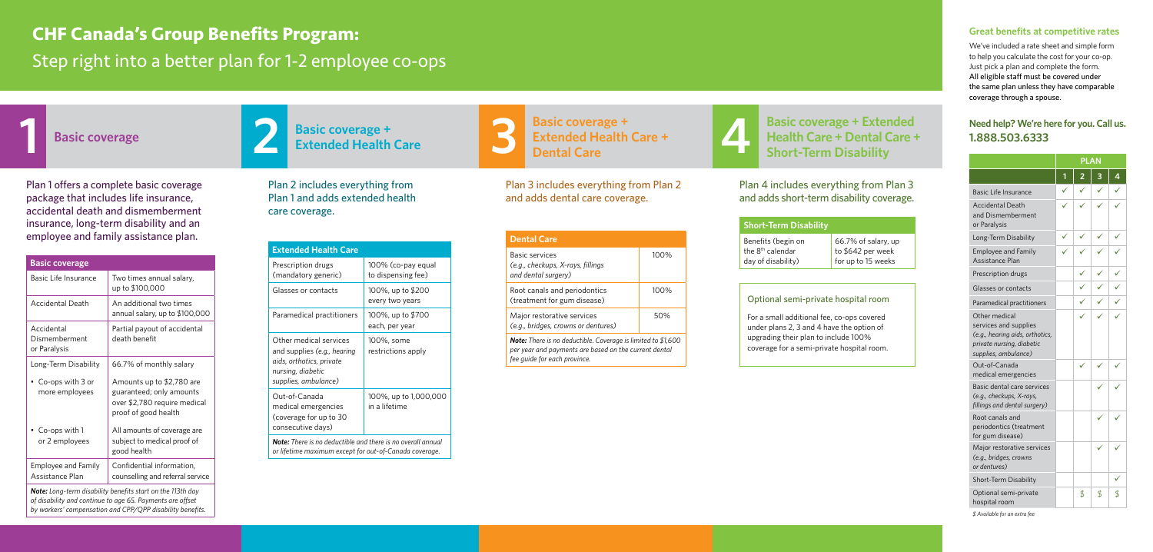**Extended Health Care**

**1 Basic coverage 2 3 4 Basic coverage + Basic coverage + Extended Health Care + Dental Care**

### **Basic coverage + Extended Health Care + Dental Care + Short-Term Disability**

| -Term Disability |
|------------------|
|------------------|

Plan 1 offers a complete basic coverage package that includes life insurance, accidental death and dismemberment insurance, long-term disability and an employee and family assistance plan.

Plan 2 includes everything from Plan 1 and adds extended health care coverage.

Plan 3 includes everything from Plan 2

and adds dental care coverage.

Plan 4 includes everything from Plan 3 and adds short-term disability coverage.

#### **Great benefits at competitive rates**

We've included a rate sheet and simple form to help you calculate the cost for your co-op. Just pick a plan and complete the form. All eligible staff must be covered under the same plan unless they have comparable coverage through a spouse.

|                                                                                                                                | <b>PLAN</b> |    |    |    |
|--------------------------------------------------------------------------------------------------------------------------------|-------------|----|----|----|
|                                                                                                                                |             |    |    | 4  |
| Basic Life Insurance                                                                                                           |             |    |    |    |
| <b>Accidental Death</b><br>and Dismemberment<br>or Paralysis                                                                   |             |    |    |    |
| Long-Term Disability                                                                                                           |             |    |    |    |
| <b>Employee and Family</b><br>Assistance Plan                                                                                  |             |    |    |    |
| Prescription drugs                                                                                                             |             |    |    |    |
| Glasses or contacts                                                                                                            |             |    |    |    |
| Paramedical practitioners                                                                                                      |             |    |    |    |
| Other medical<br>services and supplies<br>(e.g., hearing aids, orthotics,<br>private nursing, diabetic<br>supplies, ambulance) |             |    |    |    |
| Out-of-Canada<br>medical emergencies                                                                                           |             |    |    |    |
| Basic dental care services<br>(e.g., checkups, X-rays,<br>fillings and dental surgery)                                         |             |    |    |    |
| Root canals and<br>periodontics (treatment<br>for gum disease)                                                                 |             |    |    |    |
| Major restorative services<br>(e.g., bridges, crowns<br>or dentures)                                                           |             |    |    |    |
| Short-Term Disability                                                                                                          |             |    |    |    |
| Optional semi-private<br>hospital room                                                                                         |             | \$ | \$ | \$ |

*\$ Available for an extra fee*

### **Need help? We're here for you. Call us. 1.888.503.6333**

# **CHF Canada's Group Benefits Program:** Step right into a better plan for 1-2 employee co-ops



| <b>Basic coverage</b>                                      |                                                                                                               |  |  |  |
|------------------------------------------------------------|---------------------------------------------------------------------------------------------------------------|--|--|--|
| Basic Life Insurance                                       | Two times annual salary,<br>up to \$100,000                                                                   |  |  |  |
| <b>Accidental Death</b>                                    | An additional two times<br>annual salary, up to \$100,000                                                     |  |  |  |
| Accidental<br>Dismemberment<br>or Paralysis                | Partial payout of accidental<br>death benefit                                                                 |  |  |  |
| Long-Term Disability                                       | 66.7% of monthly salary                                                                                       |  |  |  |
| • Co-ops with 3 or<br>more employees                       | Amounts up to \$2,780 are<br>guaranteed; only amounts<br>over \$2,780 require medical<br>proof of good health |  |  |  |
| • Co-ops with 1<br>or 2 employees                          | All amounts of coverage are<br>subject to medical proof of<br>good health                                     |  |  |  |
| <b>Employee and Family</b><br>Assistance Plan              | Confidential information,<br>counselling and referral service                                                 |  |  |  |
| Natar Lang tarm disability bonafits start on the 112th day |                                                                                                               |  |  |  |

*Note: Long-term disability benefits start on the 113th day of disability and continue to age 65. Payments are offset by workers' compensation and CPP/QPP disability benefits.* 



| <b>Extended Health Care</b>                                                                                                    |                                          |  |  |  |
|--------------------------------------------------------------------------------------------------------------------------------|------------------------------------------|--|--|--|
| Prescription drugs<br>(mandatory generic)                                                                                      | 100% (co-pay equal<br>to dispensing fee) |  |  |  |
| Glasses or contacts                                                                                                            | 100%, up to \$200<br>every two years     |  |  |  |
| Paramedical practitioners                                                                                                      | 100%, up to \$700<br>each, per year      |  |  |  |
| Other medical services<br>and supplies (e.g., hearing<br>aids, orthotics, private<br>nursing, diabetic<br>supplies, ambulance) | 100%, some<br>restrictions apply         |  |  |  |
| Out-of-Canada<br>medical emergencies<br>(coverage for up to 30<br>consecutive days)                                            | 100%, up to 1,000,000<br>in a lifetime   |  |  |  |
| <b>Note:</b> There is no deductible and there is no overall annual                                                             |                                          |  |  |  |

*or lifetime maximum except for out-of-Canada coverage.*

| <b>Dental Care</b>                                                                                                                                           |      |  |  |  |
|--------------------------------------------------------------------------------------------------------------------------------------------------------------|------|--|--|--|
| Basic services<br>(e.g., checkups, X-rays, fillings<br>and dental surgery)                                                                                   | 100% |  |  |  |
| Root canals and periodontics<br>(treatment for gum disease)                                                                                                  | 100% |  |  |  |
| Major restorative services<br>(e.g., bridges, crowns or dentures)                                                                                            | 50%  |  |  |  |
| <b>Note:</b> There is no deductible. Coverage is limited to \$1,600<br>per year and payments are based on the current dental<br>fee quide for each province. |      |  |  |  |

**Short-**

Benefits (begin on the 8<sup>th</sup> calendar day of disability)

66.7% of salary, up to \$642 per week for up to 15 weeks

#### Optional semi-private hospital room

For a small additional fee, co-ops covered under plans 2, 3 and 4 have the option of upgrading their plan to include 100% coverage for a semi-private hospital room.